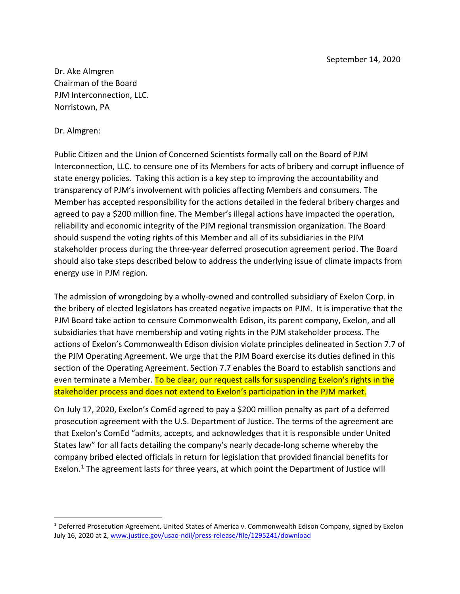Dr. Ake Almgren Chairman of the Board PJM Interconnection, LLC. Norristown, PA

#### Dr. Almgren:

Public Citizen and the Union of Concerned Scientists formally call on the Board of PJM Interconnection, LLC. to censure one of its Members for acts of bribery and corrupt influence of state energy policies. Taking this action is a key step to improving the accountability and transparency of PJM's involvement with policies affecting Members and consumers. The Member has accepted responsibility for the actions detailed in the federal bribery charges and agreed to pay a \$200 million fine. The Member's illegal actions have impacted the operation, reliability and economic integrity of the PJM regional transmission organization. The Board should suspend the voting rights of this Member and all of its subsidiaries in the PJM stakeholder process during the three-year deferred prosecution agreement period. The Board should also take steps described below to address the underlying issue of climate impacts from energy use in PJM region.

The admission of wrongdoing by a wholly-owned and controlled subsidiary of Exelon Corp. in the bribery of elected legislators has created negative impacts on PJM. It is imperative that the PJM Board take action to censure Commonwealth Edison, its parent company, Exelon, and all subsidiaries that have membership and voting rights in the PJM stakeholder process. The actions of Exelon's Commonwealth Edison division violate principles delineated in Section 7.7 of the PJM Operating Agreement. We urge that the PJM Board exercise its duties defined in this section of the Operating Agreement. Section 7.7 enables the Board to establish sanctions and even terminate a Member. To be clear, our request calls for suspending Exelon's rights in the stakeholder process and does not extend to Exelon's participation in the PJM market.

On July 17, 2020, Exelon's ComEd agreed to pay a \$200 million penalty as part of a deferred prosecution agreement with the U.S. Department of Justice. The terms of the agreement are that Exelon's ComEd "admits, accepts, and acknowledges that it is responsible under United States law" for all facts detailing the company's nearly decade-long scheme whereby the company bribed elected officials in return for legislation that provided financial benefits for Exelon. [1](#page-0-0) The agreement lasts for three years, at which point the Department of Justice will

<span id="page-0-0"></span><sup>&</sup>lt;sup>1</sup> Deferred Prosecution Agreement, United States of America v. Commonwealth Edison Company, signed by Exelon July 16, 2020 at 2[, www.justice.gov/usao-ndil/press-release/file/1295241/download](http://www.justice.gov/usao-ndil/press-release/file/1295241/download)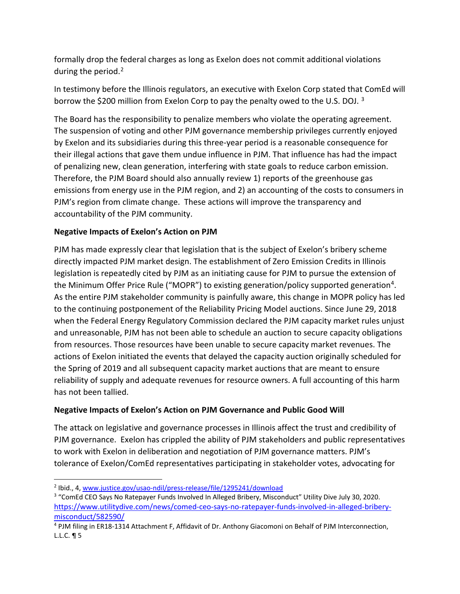formally drop the federal charges as long as Exelon does not commit additional violations during the period.<sup>[2](#page-1-0)</sup>

In testimony before the Illinois regulators, an executive with Exelon Corp stated that ComEd will borrow the \$200 million from Exelon Corp to pay the penalty owed to the U.S. DOJ. [3](#page-1-1)

The Board has the responsibility to penalize members who violate the operating agreement. The suspension of voting and other PJM governance membership privileges currently enjoyed by Exelon and its subsidiaries during this three-year period is a reasonable consequence for their illegal actions that gave them undue influence in PJM. That influence has had the impact of penalizing new, clean generation, interfering with state goals to reduce carbon emission. Therefore, the PJM Board should also annually review 1) reports of the greenhouse gas emissions from energy use in the PJM region, and 2) an accounting of the costs to consumers in PJM's region from climate change. These actions will improve the transparency and accountability of the PJM community.

# **Negative Impacts of Exelon's Action on PJM**

PJM has made expressly clear that legislation that is the subject of Exelon's bribery scheme directly impacted PJM market design. The establishment of Zero Emission Credits in Illinois legislation is repeatedly cited by PJM as an initiating cause for PJM to pursue the extension of the Minimum Offer Price Rule ("MOPR") to existing generation/policy supported generation[4.](#page-1-2) As the entire PJM stakeholder community is painfully aware, this change in MOPR policy has led to the continuing postponement of the Reliability Pricing Model auctions. Since June 29, 2018 when the Federal Energy Regulatory Commission declared the PJM capacity market rules unjust and unreasonable, PJM has not been able to schedule an auction to secure capacity obligations from resources. Those resources have been unable to secure capacity market revenues. The actions of Exelon initiated the events that delayed the capacity auction originally scheduled for the Spring of 2019 and all subsequent capacity market auctions that are meant to ensure reliability of supply and adequate revenues for resource owners. A full accounting of this harm has not been tallied.

# **Negative Impacts of Exelon's Action on PJM Governance and Public Good Will**

The attack on legislative and governance processes in Illinois affect the trust and credibility of PJM governance. Exelon has crippled the ability of PJM stakeholders and public representatives to work with Exelon in deliberation and negotiation of PJM governance matters. PJM's tolerance of Exelon/ComEd representatives participating in stakeholder votes, advocating for

<span id="page-1-0"></span><sup>2</sup> Ibid., 4, [www.justice.gov/usao-ndil/press-release/file/1295241/download](http://www.justice.gov/usao-ndil/press-release/file/1295241/download)

<span id="page-1-1"></span><sup>&</sup>lt;sup>3</sup> "ComEd CEO Says No Ratepayer Funds Involved In Alleged Bribery, Misconduct" Utility Dive July 30, 2020. [https://www.utilitydive.com/news/comed-ceo-says-no-ratepayer-funds-involved-in-alleged-bribery](https://www.utilitydive.com/news/comed-ceo-says-no-ratepayer-funds-involved-in-alleged-bribery-misconduct/582590/)[misconduct/582590/](https://www.utilitydive.com/news/comed-ceo-says-no-ratepayer-funds-involved-in-alleged-bribery-misconduct/582590/)

<span id="page-1-2"></span><sup>4</sup> PJM filing in ER18-1314 Attachment F, Affidavit of Dr. Anthony Giacomoni on Behalf of PJM Interconnection, L.L.C. ¶ 5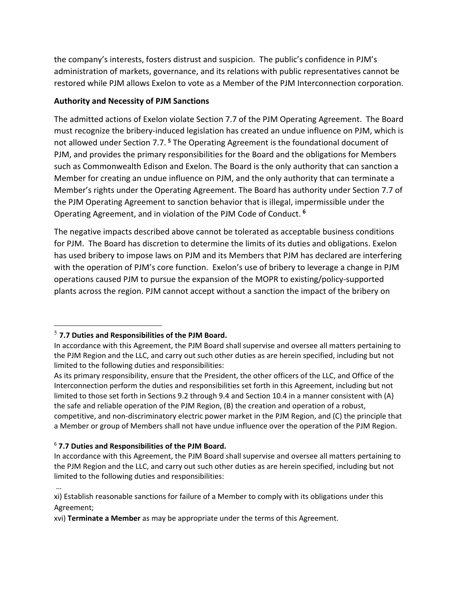the company's interests, fosters distrust and suspicion. The public's confidence in PJM's administration of markets, governance, and its relations with public representatives cannot be restored while PJM allows Exelon to vote as a Member of the PJM Interconnection corporation.

# **Authority and Necessity of PJM Sanctions**

The admitted actions of Exelon violate Section 7.7 of the PJM Operating Agreement. The Board must recognize the bribery-induced legislation has created an undue influence on PJM, which is not allowed under Section 7.7. **[5](#page-2-0)** The Operating Agreement is the foundational document of PJM, and provides the primary responsibilities for the Board and the obligations for Members such as Commonwealth Edison and Exelon. The Board is the only authority that can sanction a Member for creating an undue influence on PJM, and the only authority that can terminate a Member's rights under the Operating Agreement. The Board has authority under Section 7.7 of the PJM Operating Agreement to sanction behavior that is illegal, impermissible under the Operating Agreement, and in violation of the PJM Code of Conduct. **[6](#page-2-1)**

The negative impacts described above cannot be tolerated as acceptable business conditions for PJM. The Board has discretion to determine the limits of its duties and obligations. Exelon has used bribery to impose laws on PJM and its Members that PJM has declared are interfering with the operation of PJM's core function. Exelon's use of bribery to leverage a change in PJM operations caused PJM to pursue the expansion of the MOPR to existing/policy-supported plants across the region. PJM cannot accept without a sanction the impact of the bribery on

## <span id="page-2-0"></span><sup>5</sup> **7.7 Duties and Responsibilities of the PJM Board.**

## <span id="page-2-1"></span><sup>6</sup> **7.7 Duties and Responsibilities of the PJM Board.**

In accordance with this Agreement, the PJM Board shall supervise and oversee all matters pertaining to the PJM Region and the LLC, and carry out such other duties as are herein specified, including but not limited to the following duties and responsibilities:

… xi) Establish reasonable sanctions for failure of a Member to comply with its obligations under this Agreement;

xvi) **Terminate a Member** as may be appropriate under the terms of this Agreement.

In accordance with this Agreement, the PJM Board shall supervise and oversee all matters pertaining to the PJM Region and the LLC, and carry out such other duties as are herein specified, including but not limited to the following duties and responsibilities:

As its primary responsibility, ensure that the President, the other officers of the LLC, and Office of the Interconnection perform the duties and responsibilities set forth in this Agreement, including but not limited to those set forth in Sections 9.2 through 9.4 and Section 10.4 in a manner consistent with (A) the safe and reliable operation of the PJM Region, (B) the creation and operation of a robust, competitive, and non-discriminatory electric power market in the PJM Region, and (C) the principle that a Member or group of Members shall not have undue influence over the operation of the PJM Region.